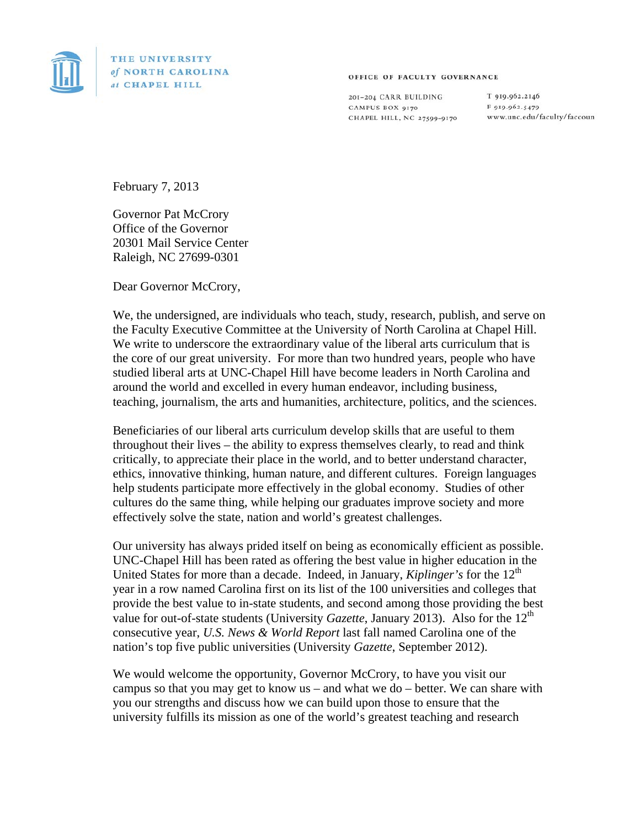

THE UNIVERSITY of NORTH CAROLINA at CHAPEL HILL

## OFFICE OF FACULTY GOVERNANCE

201-204 CARR BUILDING CAMPUS BOX 9170 CHAPEL HILL, NC 27599-9170 T 919.962.2146 F 919.962.5479 www.unc.edu/faculty/faccoun

February 7, 2013

Governor Pat McCrory Office of the Governor 20301 Mail Service Center Raleigh, NC 27699-0301

Dear Governor McCrory,

We, the undersigned, are individuals who teach, study, research, publish, and serve on the Faculty Executive Committee at the University of North Carolina at Chapel Hill. We write to underscore the extraordinary value of the liberal arts curriculum that is the core of our great university. For more than two hundred years, people who have studied liberal arts at UNC-Chapel Hill have become leaders in North Carolina and around the world and excelled in every human endeavor, including business, teaching, journalism, the arts and humanities, architecture, politics, and the sciences.

Beneficiaries of our liberal arts curriculum develop skills that are useful to them throughout their lives – the ability to express themselves clearly, to read and think critically, to appreciate their place in the world, and to better understand character, ethics, innovative thinking, human nature, and different cultures. Foreign languages help students participate more effectively in the global economy. Studies of other cultures do the same thing, while helping our graduates improve society and more effectively solve the state, nation and world's greatest challenges.

Our university has always prided itself on being as economically efficient as possible. UNC-Chapel Hill has been rated as offering the best value in higher education in the United States for more than a decade. Indeed, in January, *Kiplinger's* for the 12<sup>th</sup> year in a row named Carolina first on its list of the 100 universities and colleges that provide the best value to in-state students, and second among those providing the best value for out-of-state students (University *Gazette*, January 2013). Also for the 12<sup>th</sup> consecutive year, *U.S. News & World Report* last fall named Carolina one of the nation's top five public universities (University *Gazette*, September 2012).

We would welcome the opportunity, Governor McCrory, to have you visit our campus so that you may get to know us – and what we do – better. We can share with you our strengths and discuss how we can build upon those to ensure that the university fulfills its mission as one of the world's greatest teaching and research